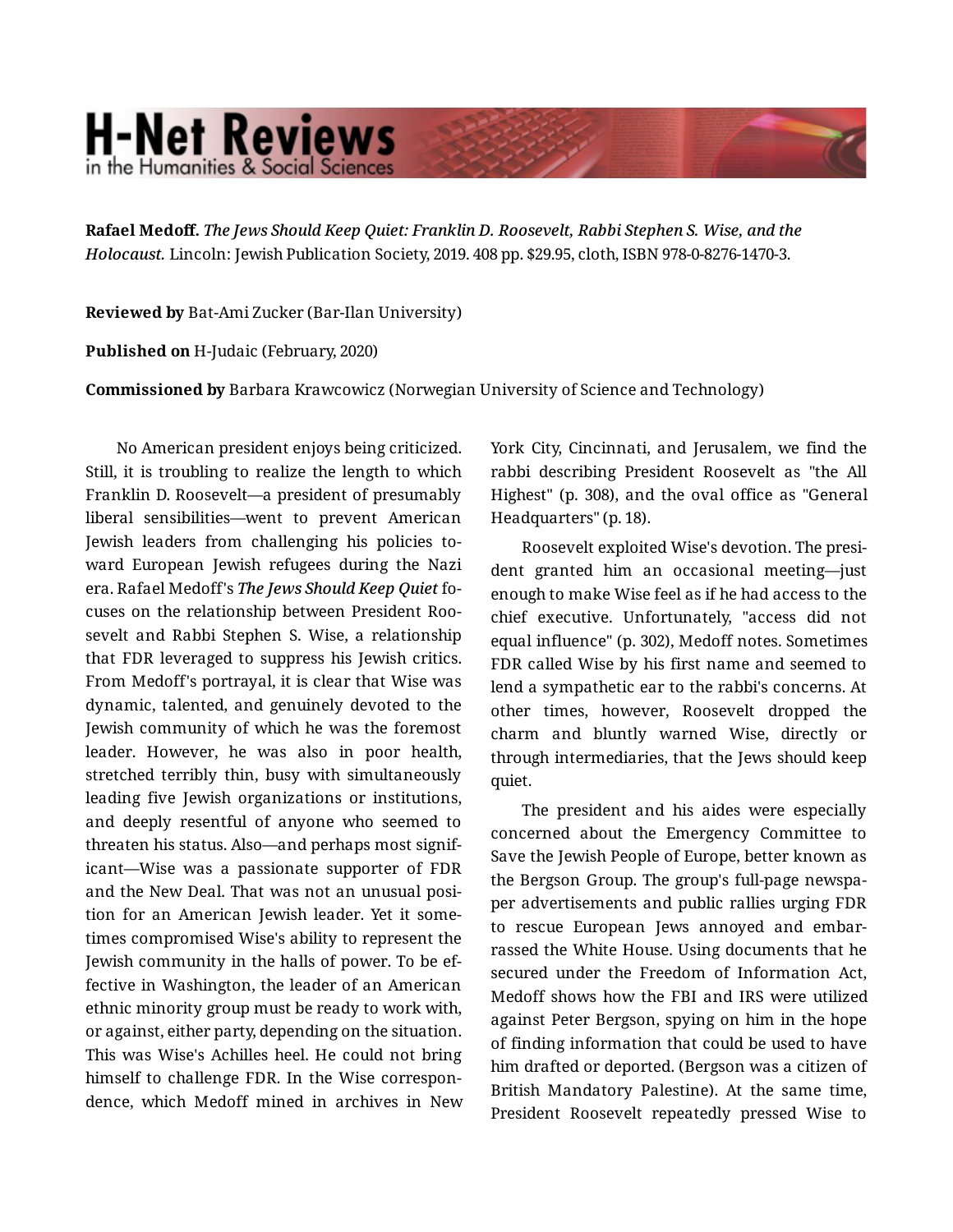## **H-Net Reviews** in the Humanities & Social Scienc

**Rafael Medoff.** *The Jews Should Keep Quiet: Franklin D. Roosevelt, Rabbi Stephen S. Wise, and the Holocaust.* Lincoln: Jewish Publication Society, 2019. 408 pp. \$29.95, cloth, ISBN 978-0-8276-1470-3.

**Reviewed by** Bat-Ami Zucker (Bar-Ilan University)

**Published on** H-Judaic (February, 2020)

**Commissioned by** Barbara Krawcowicz (Norwegian University of Science and Technology)

No American president enjoys being criticized. Still, it is troubling to realize the length to which Franklin D. Roosevelt—a president of presumably liberal sensibilities—went to prevent American Jewish leaders from challenging his policies to‐ ward European Jewish refugees during the Nazi era. Rafael Medoff's *The Jews Should Keep Quiet* fo‐ cuses on the relationship between President Roo‐ sevelt and Rabbi Stephen S. Wise, a relationship that FDR leveraged to suppress his Jewish critics. From Medoff's portrayal, it is clear that Wise was dynamic, talented, and genuinely devoted to the Jewish community of which he was the foremost leader. However, he was also in poor health, stretched terribly thin, busy with simultaneously leading five Jewish organizations or institutions, and deeply resentful of anyone who seemed to threaten his status. Also—and perhaps most signif‐ icant—Wise was a passionate supporter of FDR and the New Deal. That was not an unusual posi‐ tion for an American Jewish leader. Yet it some‐ times compromised Wise's ability to represent the Jewish community in the halls of power. To be ef‐ fective in Washington, the leader of an American ethnic minority group must be ready to work with, or against, either party, depending on the situation. This was Wise's Achilles heel. He could not bring himself to challenge FDR. In the Wise correspon‐ dence, which Medoff mined in archives in New York City, Cincinnati, and Jerusalem, we find the rabbi describing President Roosevelt as "the All Highest" (p. 308), and the oval office as "General Headquarters" (p. 18).

Roosevelt exploited Wise's devotion. The presi‐ dent granted him an occasional meeting—just enough to make Wise feel as if he had access to the chief executive. Unfortunately, "access did not equal influence" (p. 302), Medoff notes. Sometimes FDR called Wise by his first name and seemed to lend a sympathetic ear to the rabbi's concerns. At other times, however, Roosevelt dropped the charm and bluntly warned Wise, directly or through intermediaries, that the Jews should keep quiet.

The president and his aides were especially concerned about the Emergency Committee to Save the Jewish People of Europe, better known as the Bergson Group. The group's full-page newspa‐ per advertisements and public rallies urging FDR to rescue European Jews annoyed and embar‐ rassed the White House. Using documents that he secured under the Freedom of Information Act, Medoff shows how the FBI and IRS were utilized against Peter Bergson, spying on him in the hope of finding information that could be used to have him drafted or deported. (Bergson was a citizen of British Mandatory Palestine). At the same time, President Roosevelt repeatedly pressed Wise to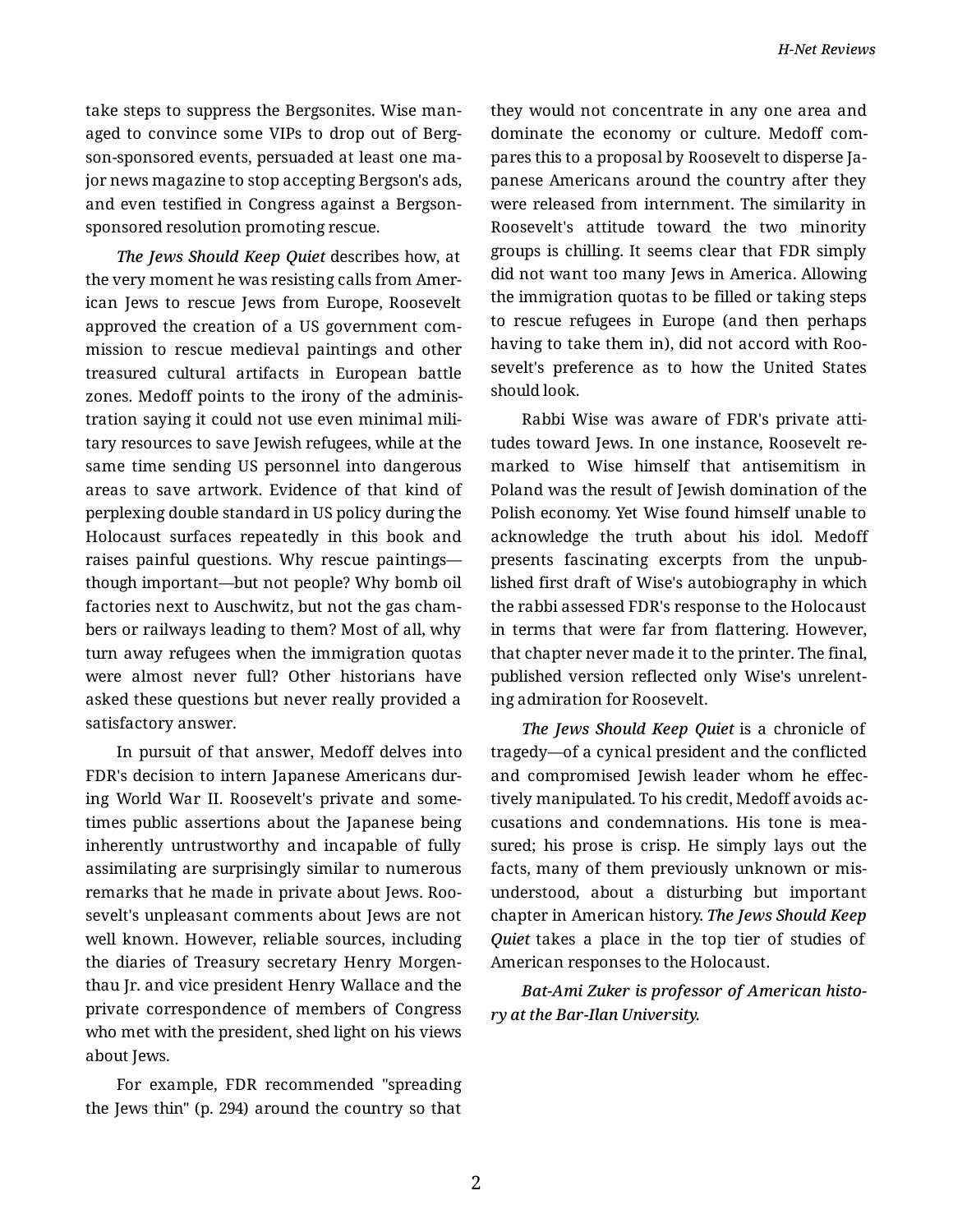take steps to suppress the Bergsonites. Wise man‐ aged to convince some VIPs to drop out of Berg‐ son-sponsored events, persuaded at least one ma‐ jor news magazine to stop accepting Bergson's ads, and even testified in Congress against a Bergsonsponsored resolution promoting rescue.

*The Jews Should Keep Quiet* describes how, at the very moment he was resisting calls from Amer‐ ican Jews to rescue Jews from Europe, Roosevelt approved the creation of a US government com‐ mission to rescue medieval paintings and other treasured cultural artifacts in European battle zones. Medoff points to the irony of the adminis‐ tration saying it could not use even minimal mili‐ tary resources to save Jewish refugees, while at the same time sending US personnel into dangerous areas to save artwork. Evidence of that kind of perplexing double standard in US policy during the Holocaust surfaces repeatedly in this book and raises painful questions. Why rescue paintings though important—but not people? Why bomb oil factories next to Auschwitz, but not the gas cham‐ bers or railways leading to them? Most of all, why turn away refugees when the immigration quotas were almost never full? Other historians have asked these questions but never really provided a satisfactory answer.

In pursuit of that answer, Medoff delves into FDR's decision to intern Japanese Americans dur‐ ing World War II. Roosevelt's private and some‐ times public assertions about the Japanese being inherently untrustworthy and incapable of fully assimilating are surprisingly similar to numerous remarks that he made in private about Jews. Roo‐ sevelt's unpleasant comments about Jews are not well known. However, reliable sources, including the diaries of Treasury secretary Henry Morgen‐ thau Jr. and vice president Henry Wallace and the private correspondence of members of Congress who met with the president, shed light on his views about Jews.

For example, FDR recommended "spreading the Jews thin" (p. 294) around the country so that they would not concentrate in any one area and dominate the economy or culture. Medoff com‐ pares this to a proposal by Roosevelt to disperse Ja‐ panese Americans around the country after they were released from internment. The similarity in Roosevelt's attitude toward the two minority groups is chilling. It seems clear that FDR simply did not want too many Jews in America. Allowing the immigration quotas to be filled or taking steps to rescue refugees in Europe (and then perhaps having to take them in), did not accord with Roo‐ sevelt's preference as to how the United States should look.

Rabbi Wise was aware of FDR's private atti‐ tudes toward Jews. In one instance, Roosevelt re‐ marked to Wise himself that antisemitism in Poland was the result of Jewish domination of the Polish economy. Yet Wise found himself unable to acknowledge the truth about his idol. Medoff presents fascinating excerpts from the unpub‐ lished first draft of Wise's autobiography in which the rabbi assessed FDR's response to the Holocaust in terms that were far from flattering. However, that chapter never made it to the printer. The final, published version reflected only Wise's unrelent‐ ing admiration for Roosevelt.

*The Jews Should Keep Quiet* is a chronicle of tragedy—of a cynical president and the conflicted and compromised Jewish leader whom he effec‐ tively manipulated. To his credit, Medoff avoids ac‐ cusations and condemnations. His tone is mea‐ sured; his prose is crisp. He simply lays out the facts, many of them previously unknown or mis‐ understood, about a disturbing but important chapter in American history. *The Jews Should Keep Quiet* takes a place in the top tier of studies of American responses to the Holocaust.

*Bat-Ami Zuker is professor of American histo‐ ry at the Bar-Ilan University.*